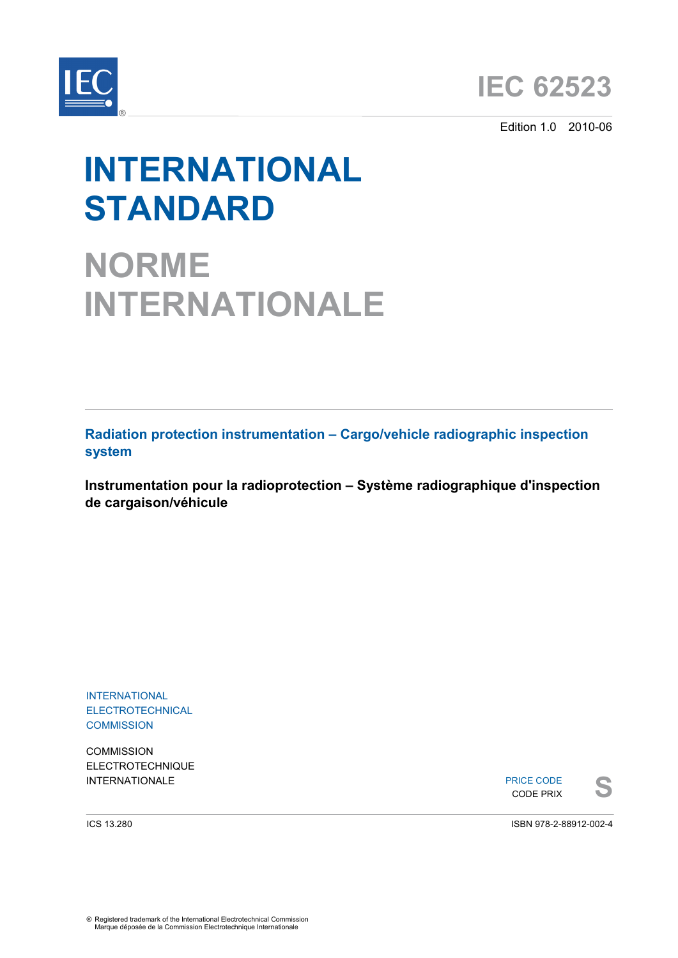



Edition 1.0 2010-06

# **INTERNATIONAL STANDARD**

**NORME INTERNATIONALE**

**Radiation protection instrumentation – Cargo/vehicle radiographic inspection system** 

**Instrumentation pour la radioprotection – Système radiographique d'inspection de cargaison/véhicule** 

INTERNATIONAL ELECTROTECHNICAL **COMMISSION** 

**COMMISSION** ELECTROTECHNIQUE

INTERNATIONALE **STATE OF SALE OF SALE OF SALE OF SALE OF SALE OF SALE OF SALE OF SALE OF SALE OF SALE OF SALE OF SALE OF SALE OF SALE OF SALE OF SALE OF SALE OF SALE OF SALE OF SALE OF SALE OF SALE OF SALE OF SALE OF SALE** PRICE CODE CODE PRIX

ICS 13.280

ISBN 978-2-88912-002-4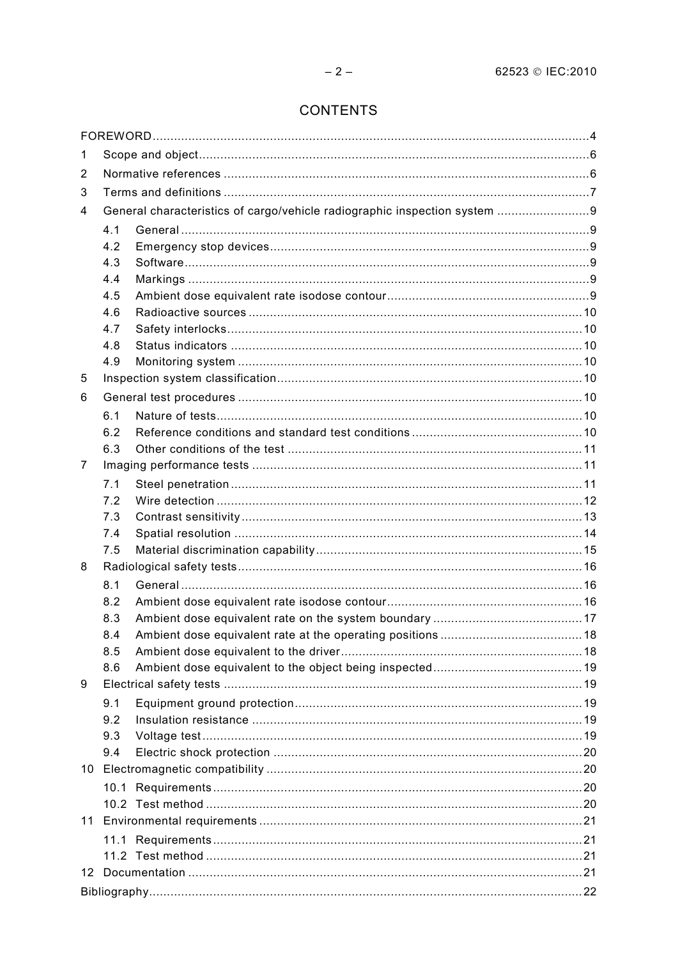## **CONTENTS**

| 1  |                                                                           |  |  |  |
|----|---------------------------------------------------------------------------|--|--|--|
| 2  |                                                                           |  |  |  |
| 3  |                                                                           |  |  |  |
| 4  | General characteristics of cargo/vehicle radiographic inspection system 9 |  |  |  |
|    | 4.1                                                                       |  |  |  |
|    | 4.2                                                                       |  |  |  |
|    | 4.3                                                                       |  |  |  |
|    | 4.4                                                                       |  |  |  |
|    | 4.5                                                                       |  |  |  |
|    | 4.6                                                                       |  |  |  |
|    | 4.7                                                                       |  |  |  |
|    | 4.8                                                                       |  |  |  |
|    | 4.9                                                                       |  |  |  |
| 5  |                                                                           |  |  |  |
| 6  |                                                                           |  |  |  |
|    | 6.1                                                                       |  |  |  |
|    | 6.2                                                                       |  |  |  |
|    | 6.3                                                                       |  |  |  |
| 7  |                                                                           |  |  |  |
|    | 7.1                                                                       |  |  |  |
|    | 7.2                                                                       |  |  |  |
|    | 7.3                                                                       |  |  |  |
|    | 7.4                                                                       |  |  |  |
|    | 7.5                                                                       |  |  |  |
| 8  |                                                                           |  |  |  |
|    | 8.1                                                                       |  |  |  |
|    | 8.2                                                                       |  |  |  |
|    | 8.3                                                                       |  |  |  |
|    | 8.4                                                                       |  |  |  |
|    | 8.5                                                                       |  |  |  |
|    | 8.6                                                                       |  |  |  |
| 9  |                                                                           |  |  |  |
|    | 9.1                                                                       |  |  |  |
|    | 9.2                                                                       |  |  |  |
|    | 9.3                                                                       |  |  |  |
|    | 9.4                                                                       |  |  |  |
| 10 |                                                                           |  |  |  |
|    |                                                                           |  |  |  |
|    |                                                                           |  |  |  |
| 11 |                                                                           |  |  |  |
|    |                                                                           |  |  |  |
|    |                                                                           |  |  |  |
| 12 |                                                                           |  |  |  |
|    |                                                                           |  |  |  |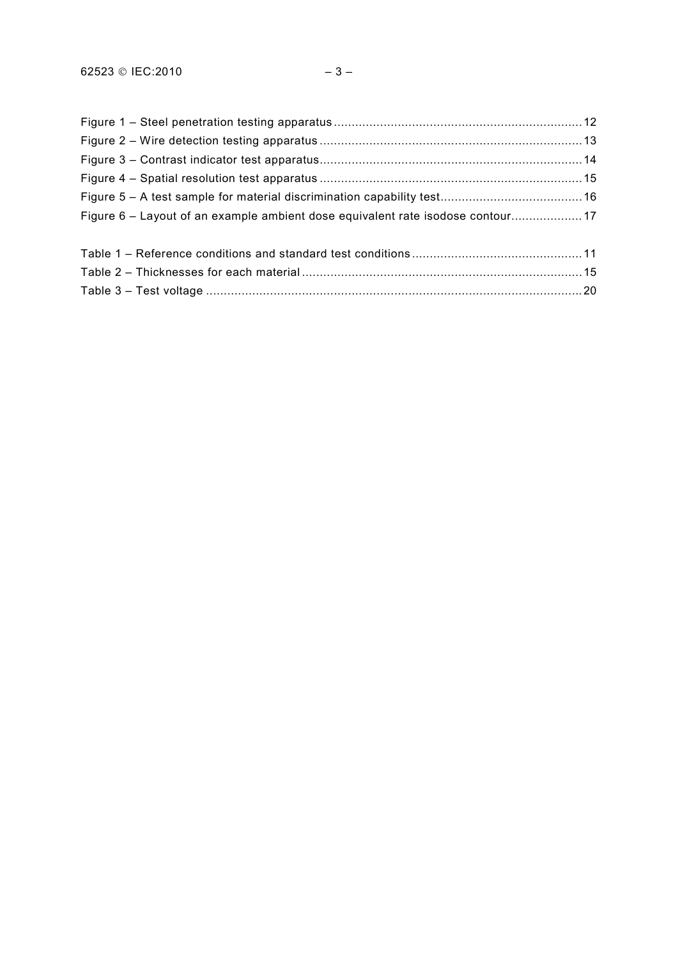| Figure 6 – Layout of an example ambient dose equivalent rate isodose contour 17 |  |
|---------------------------------------------------------------------------------|--|
|                                                                                 |  |
|                                                                                 |  |
|                                                                                 |  |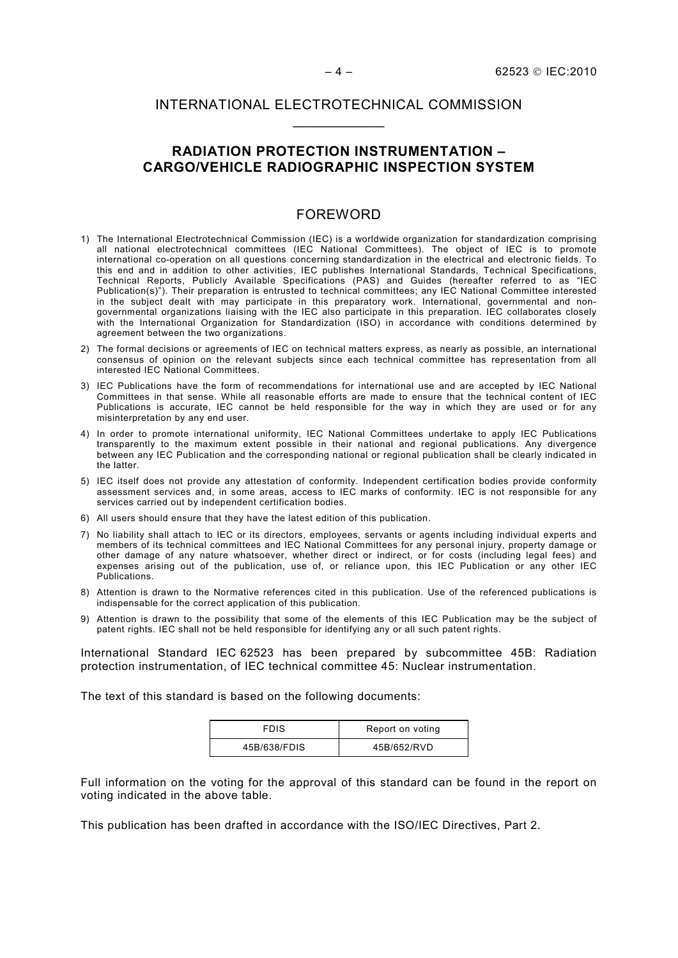## <span id="page-3-0"></span>INTERNATIONAL ELECTROTECHNICAL COMMISSION  $\frac{1}{2}$  ,  $\frac{1}{2}$  ,  $\frac{1}{2}$  ,  $\frac{1}{2}$  ,  $\frac{1}{2}$  ,  $\frac{1}{2}$

## **RADIATION PROTECTION INSTRUMENTATION – CARGO/VEHICLE RADIOGRAPHIC INSPECTION SYSTEM**

## FOREWORD

- 1) The International Electrotechnical Commission (IEC) is a worldwide organization for standardization comprising all national electrotechnical committees (IEC National Committees). The object of IEC is to promote international co-operation on all questions concerning standardization in the electrical and electronic fields. To this end and in addition to other activities, IEC publishes International Standards, Technical Specifications, Technical Reports, Publicly Available Specifications (PAS) and Guides (hereafter referred to as "IEC Publication(s)"). Their preparation is entrusted to technical committees; any IEC National Committee interested in the subject dealt with may participate in this preparatory work. International, governmental and nongovernmental organizations liaising with the IEC also participate in this preparation. IEC collaborates closely with the International Organization for Standardization (ISO) in accordance with conditions determined by agreement between the two organizations.
- 2) The formal decisions or agreements of IEC on technical matters express, as nearly as possible, an international consensus of opinion on the relevant subjects since each technical committee has representation from all interested IEC National Committees.
- 3) IEC Publications have the form of recommendations for international use and are accepted by IEC National Committees in that sense. While all reasonable efforts are made to ensure that the technical content of IEC Publications is accurate, IEC cannot be held responsible for the way in which they are used or for any misinterpretation by any end user.
- 4) In order to promote international uniformity, IEC National Committees undertake to apply IEC Publications transparently to the maximum extent possible in their national and regional publications. Any divergence between any IEC Publication and the corresponding national or regional publication shall be clearly indicated in the latter.
- 5) IEC itself does not provide any attestation of conformity. Independent certification bodies provide conformity assessment services and, in some areas, access to IEC marks of conformity. IEC is not responsible for any services carried out by independent certification bodies.
- 6) All users should ensure that they have the latest edition of this publication.
- 7) No liability shall attach to IEC or its directors, employees, servants or agents including individual experts and members of its technical committees and IEC National Committees for any personal injury, property damage or other damage of any nature whatsoever, whether direct or indirect, or for costs (including legal fees) and expenses arising out of the publication, use of, or reliance upon, this IEC Publication or any other IEC Publications.
- 8) Attention is drawn to the Normative references cited in this publication. Use of the referenced publications is indispensable for the correct application of this publication.
- 9) Attention is drawn to the possibility that some of the elements of this IEC Publication may be the subject of patent rights. IEC shall not be held responsible for identifying any or all such patent rights.

International Standard IEC 62523 has been prepared by subcommittee 45B: Radiation protection instrumentation, of IEC technical committee 45: Nuclear instrumentation.

The text of this standard is based on the following documents:

| FDIS         | Report on voting |
|--------------|------------------|
| 45B/638/FDIS | 45B/652/RVD      |

Full information on the voting for the approval of this standard can be found in the report on voting indicated in the above table.

This publication has been drafted in accordance with the ISO/IEC Directives, Part 2.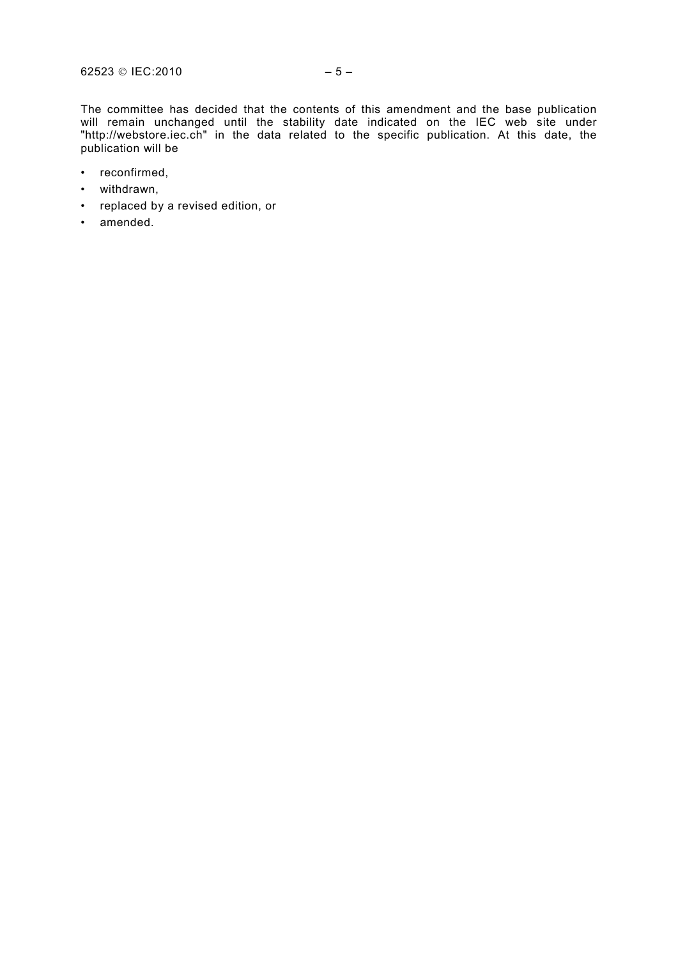The committee has decided that the contents of this amendment and the base publication will remain unchanged until the stability date indicated on the IEC web site under "http://webstore.iec.ch" in the data related to the specific publication. At this date, the publication will be

- reconfirmed,
- withdrawn,
- replaced by a revised edition, or
- amended.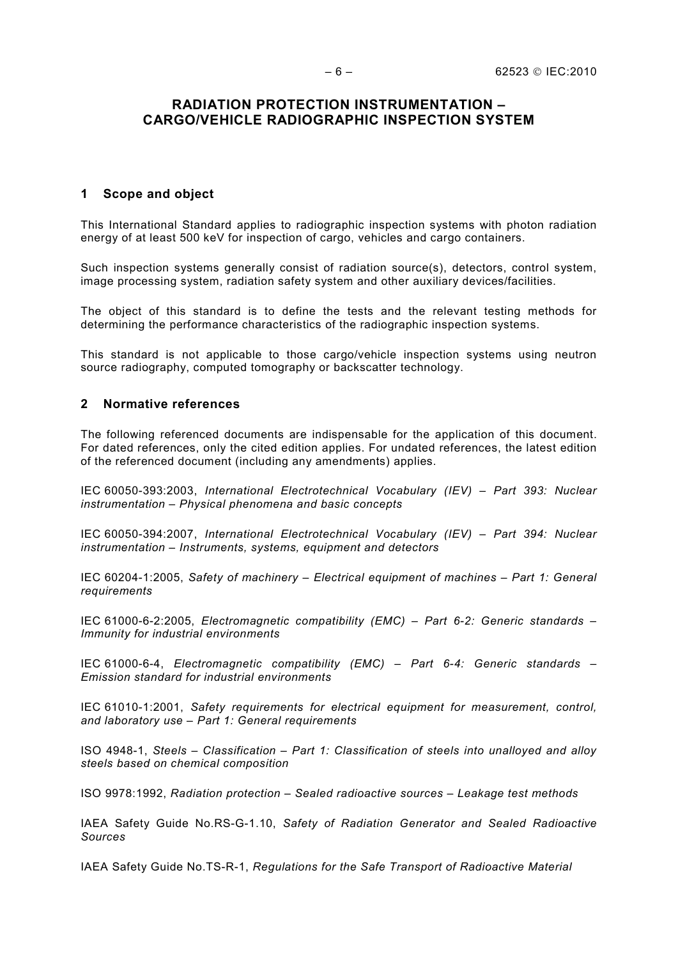## <span id="page-5-0"></span>**RADIATION PROTECTION INSTRUMENTATION – CARGO/VEHICLE RADIOGRAPHIC INSPECTION SYSTEM**

### **1 Scope and object**

This International Standard applies to radiographic inspection systems with photon radiation energy of at least 500 keV for inspection of cargo, vehicles and cargo containers.

Such inspection systems generally consist of radiation source(s), detectors, control system, image processing system, radiation safety system and other auxiliary devices/facilities.

The object of this standard is to define the tests and the relevant testing methods for determining the performance characteristics of the radiographic inspection systems.

This standard is not applicable to those cargo/vehicle inspection systems using neutron source radiography, computed tomography or backscatter technology.

## **2 Normative references**

The following referenced documents are indispensable for the application of this document. For dated references, only the cited edition applies. For undated references, the latest edition of the referenced document (including any amendments) applies.

IEC 60050-393:2003, *International Electrotechnical Vocabulary (IEV) – Part 393: Nuclear instrumentation – Physical phenomena and basic concepts* 

IEC 60050-394:2007, *International Electrotechnical Vocabulary (IEV) – Part 394: Nuclear instrumentation – Instruments, systems, equipment and detectors*

IEC 60204-1:2005, *Safety of machinery – Electrical equipment of machines – Part 1: General requirements* 

IEC 61000-6-2:2005, *Electromagnetic compatibility (EMC) – Part 6-2: Generic standards – Immunity for industrial environments*

IEC 61000-6-4, *Electromagnetic compatibility (EMC) – Part 6-4: Generic standards – Emission standard for industrial environments* 

IEC 61010-1:2001, *Safety requirements for electrical equipment for measurement, control, and laboratory use – Part 1: General requirements*

ISO 4948-1, *Steels – Classification – Part 1: Classification of steels into unalloyed and alloy steels based on chemical composition* 

ISO 9978:1992, *Radiation protection – Sealed radioactive sources – Leakage test methods* 

IAEA Safety Guide No.RS-G-1.10, *Safety of Radiation Generator and Sealed Radioactive Sources*

IAEA Safety Guide No.TS-R-1, *Regulations for the Safe Transport of Radioactive Material*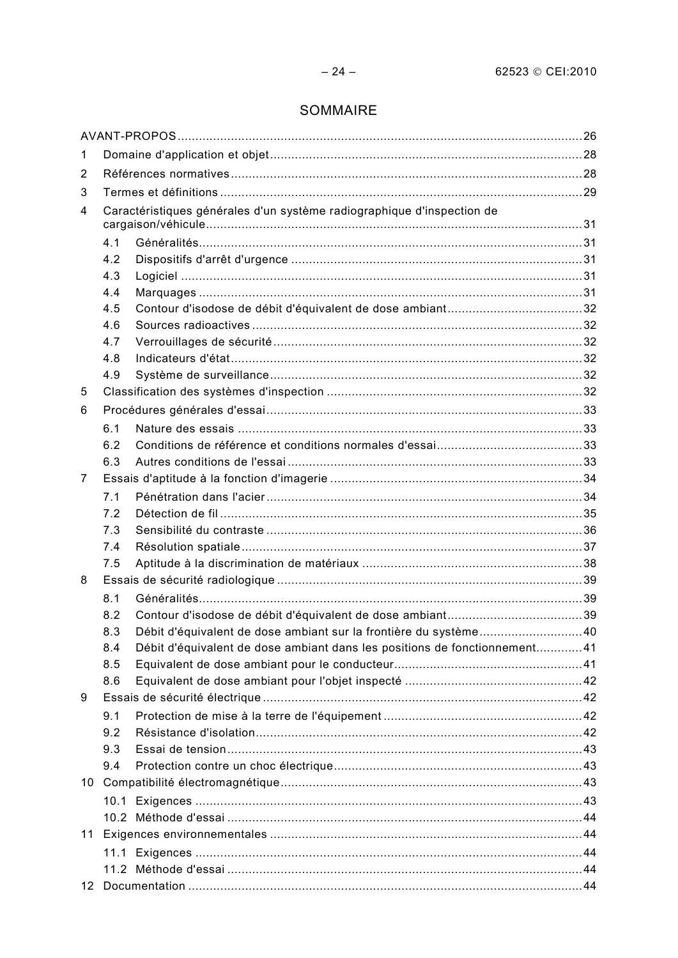## SOMMAIRE

| 1  |            |                                                                           |  |
|----|------------|---------------------------------------------------------------------------|--|
| 2  |            |                                                                           |  |
| 3  |            |                                                                           |  |
| 4  |            | Caractéristiques générales d'un système radiographique d'inspection de    |  |
|    |            |                                                                           |  |
|    | 4.1        |                                                                           |  |
|    | 4.2        |                                                                           |  |
|    | 4.3        |                                                                           |  |
|    | 4.4<br>4.5 |                                                                           |  |
|    | 4.6        |                                                                           |  |
|    | 4.7        |                                                                           |  |
|    | 4.8        |                                                                           |  |
|    | 4.9        |                                                                           |  |
| 5  |            |                                                                           |  |
| 6  |            |                                                                           |  |
|    | 6.1        |                                                                           |  |
|    | 6.2        |                                                                           |  |
|    | 6.3        |                                                                           |  |
| 7  |            |                                                                           |  |
|    | 7.1        |                                                                           |  |
|    | 7.2        |                                                                           |  |
|    | 7.3        |                                                                           |  |
|    | 7.4        |                                                                           |  |
|    | 7.5        |                                                                           |  |
| 8  |            |                                                                           |  |
|    | 8.1        |                                                                           |  |
|    | 8.2        |                                                                           |  |
|    | 8.3        | Débit d'équivalent de dose ambiant sur la frontière du système40          |  |
|    | 8.4        | Débit d'équivalent de dose ambiant dans les positions de fonctionnement41 |  |
|    | 8.5        |                                                                           |  |
| 9  | 8.6        |                                                                           |  |
|    |            |                                                                           |  |
|    | 9.1<br>9.2 |                                                                           |  |
|    | 9.3        |                                                                           |  |
|    | 9.4        |                                                                           |  |
|    |            |                                                                           |  |
|    |            |                                                                           |  |
|    |            |                                                                           |  |
| 11 |            |                                                                           |  |
|    |            |                                                                           |  |
|    |            |                                                                           |  |
| 12 |            |                                                                           |  |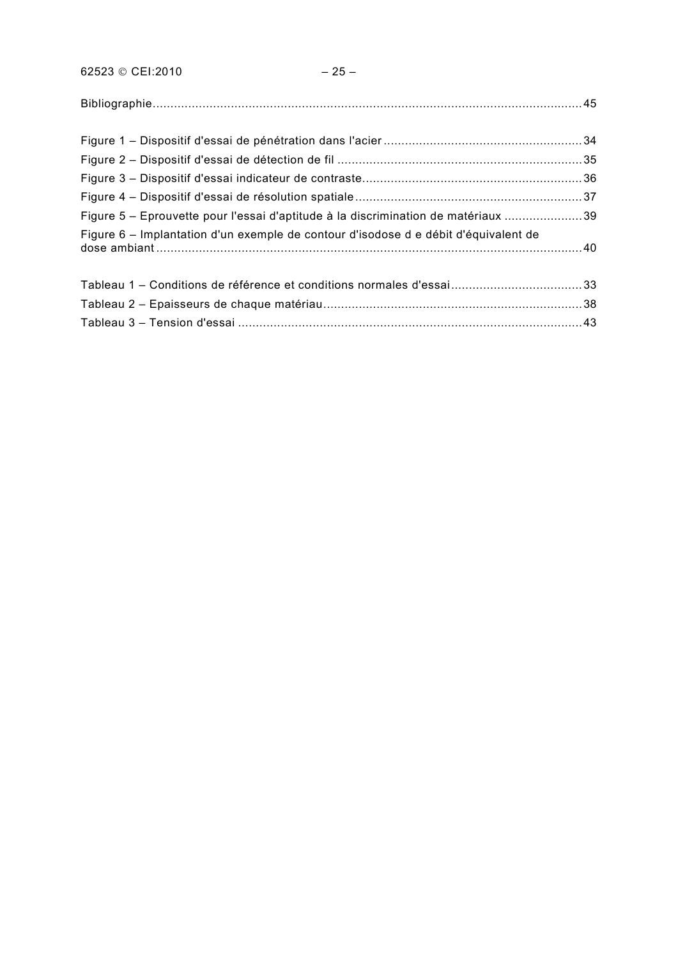| 62523 © CEI:2010                                                                    | $-25-$                                                                            |  |
|-------------------------------------------------------------------------------------|-----------------------------------------------------------------------------------|--|
|                                                                                     |                                                                                   |  |
|                                                                                     |                                                                                   |  |
|                                                                                     |                                                                                   |  |
| Figure 6 – Implantation d'un exemple de contour d'isodose d e débit d'équivalent de | Figure 5 – Eprouvette pour l'essai d'aptitude à la discrimination de matériaux 39 |  |
|                                                                                     |                                                                                   |  |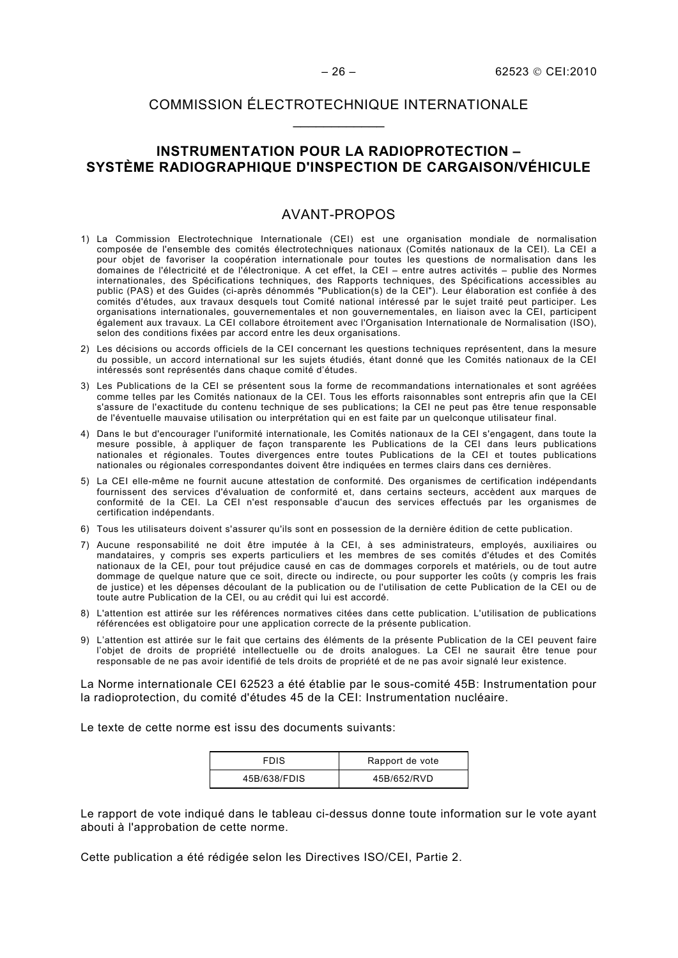## COMMISSION ÉLECTROTECHNIQUE INTERNATIONALE  $\frac{1}{2}$  ,  $\frac{1}{2}$  ,  $\frac{1}{2}$  ,  $\frac{1}{2}$  ,  $\frac{1}{2}$  ,  $\frac{1}{2}$

## <span id="page-8-0"></span>**INSTRUMENTATION POUR LA RADIOPROTECTION – SYSTÈME RADIOGRAPHIQUE D'INSPECTION DE CARGAISON/VÉHICULE**

## AVANT-PROPOS

- 1) La Commission Electrotechnique Internationale (CEI) est une organisation mondiale de normalisation composée de l'ensemble des comités électrotechniques nationaux (Comités nationaux de la CEI). La CEI a pour objet de favoriser la coopération internationale pour toutes les questions de normalisation dans les domaines de l'électricité et de l'électronique. A cet effet, la CEI – entre autres activités – publie des Normes internationales, des Spécifications techniques, des Rapports techniques, des Spécifications accessibles au public (PAS) et des Guides (ci-après dénommés "Publication(s) de la CEI"). Leur élaboration est confiée à des comités d'études, aux travaux desquels tout Comité national intéressé par le sujet traité peut participer. Les organisations internationales, gouvernementales et non gouvernementales, en liaison avec la CEI, participent également aux travaux. La CEI collabore étroitement avec l'Organisation Internationale de Normalisation (ISO), selon des conditions fixées par accord entre les deux organisations.
- 2) Les décisions ou accords officiels de la CEI concernant les questions techniques représentent, dans la mesure du possible, un accord international sur les sujets étudiés, étant donné que les Comités nationaux de la CEI intéressés sont représentés dans chaque comité d'études.
- 3) Les Publications de la CEI se présentent sous la forme de recommandations internationales et sont agréées comme telles par les Comités nationaux de la CEI. Tous les efforts raisonnables sont entrepris afin que la CEI s'assure de l'exactitude du contenu technique de ses publications; la CEI ne peut pas être tenue responsable de l'éventuelle mauvaise utilisation ou interprétation qui en est faite par un quelconque utilisateur final.
- 4) Dans le but d'encourager l'uniformité internationale, les Comités nationaux de la CEI s'engagent, dans toute la mesure possible, à appliquer de façon transparente les Publications de la CEI dans leurs publications nationales et régionales. Toutes divergences entre toutes Publications de la CEI et toutes publications nationales ou régionales correspondantes doivent être indiquées en termes clairs dans ces dernières.
- 5) La CEI elle-même ne fournit aucune attestation de conformité. Des organismes de certification indépendants fournissent des services d'évaluation de conformité et, dans certains secteurs, accèdent aux marques de conformité de la CEI. La CEI n'est responsable d'aucun des services effectués par les organismes de certification indépendants.
- 6) Tous les utilisateurs doivent s'assurer qu'ils sont en possession de la dernière édition de cette publication.
- 7) Aucune responsabilité ne doit être imputée à la CEI, à ses administrateurs, employés, auxiliaires ou mandataires, y compris ses experts particuliers et les membres de ses comités d'études et des Comités nationaux de la CEI, pour tout préjudice causé en cas de dommages corporels et matériels, ou de tout autre dommage de quelque nature que ce soit, directe ou indirecte, ou pour supporter les coûts (y compris les frais de justice) et les dépenses découlant de la publication ou de l'utilisation de cette Publication de la CEI ou de toute autre Publication de la CEI, ou au crédit qui lui est accordé.
- 8) L'attention est attirée sur les références normatives citées dans cette publication. L'utilisation de publications référencées est obligatoire pour une application correcte de la présente publication.
- 9) L'attention est attirée sur le fait que certains des éléments de la présente Publication de la CEI peuvent faire l'objet de droits de propriété intellectuelle ou de droits analogues. La CEI ne saurait être tenue pour responsable de ne pas avoir identifié de tels droits de propriété et de ne pas avoir signalé leur existence.

La Norme internationale CEI 62523 a été établie par le sous-comité 45B: Instrumentation pour la radioprotection, du comité d'études 45 de la CEI: Instrumentation nucléaire.

Le texte de cette norme est issu des documents suivants:

| FDIS         | Rapport de vote |
|--------------|-----------------|
| 45B/638/FDIS | 45B/652/RVD     |

Le rapport de vote indiqué dans le tableau ci-dessus donne toute information sur le vote ayant abouti à l'approbation de cette norme.

Cette publication a été rédigée selon les Directives ISO/CEI, Partie 2.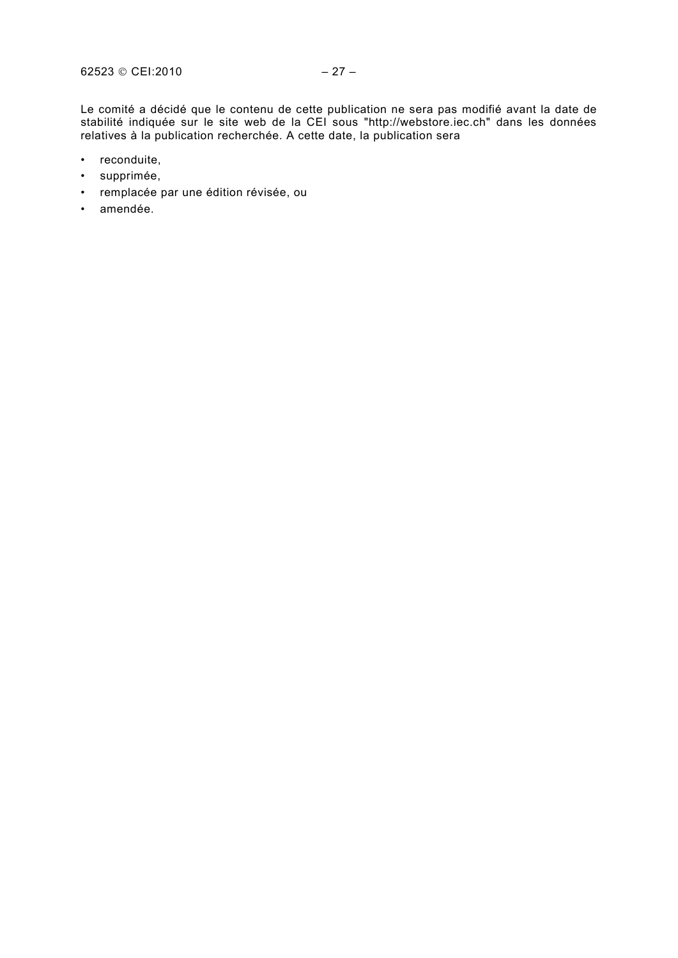Le comité a décidé que le contenu de cette publication ne sera pas modifié avant la date de stabilité indiquée sur le site web de la CEI sous "http://webstore.iec.ch" dans les données relatives à la publication recherchée. A cette date, la publication sera

- reconduite,
- supprimée,
- remplacée par une édition révisée, ou
- amendée.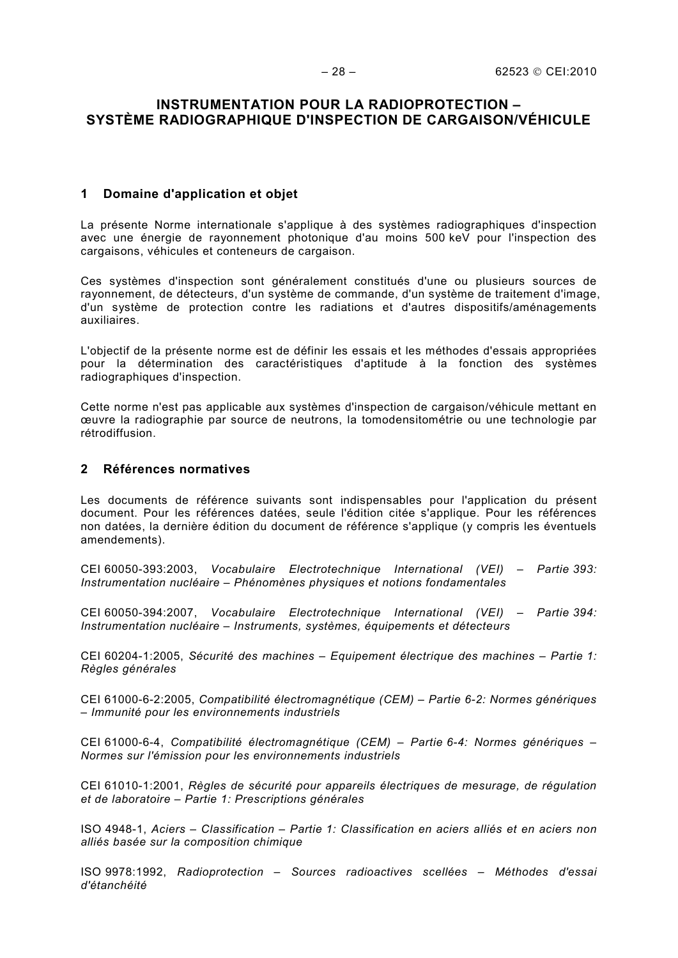## <span id="page-10-0"></span>**INSTRUMENTATION POUR LA RADIOPROTECTION – SYSTÈME RADIOGRAPHIQUE D'INSPECTION DE CARGAISON/VÉHICULE**

## **1 Domaine d'application et objet**

La présente Norme internationale s'applique à des systèmes radiographiques d'inspection avec une énergie de rayonnement photonique d'au moins 500 keV pour l'inspection des cargaisons, véhicules et conteneurs de cargaison.

Ces systèmes d'inspection sont généralement constitués d'une ou plusieurs sources de rayonnement, de détecteurs, d'un système de commande, d'un système de traitement d'image, d'un système de protection contre les radiations et d'autres dispositifs/aménagements auxiliaires.

L'objectif de la présente norme est de définir les essais et les méthodes d'essais appropriées pour la détermination des caractéristiques d'aptitude à la fonction des systèmes radiographiques d'inspection.

Cette norme n'est pas applicable aux systèmes d'inspection de cargaison/véhicule mettant en œuvre la radiographie par source de neutrons, la tomodensitométrie ou une technologie par rétrodiffusion.

#### **2 Références normatives**

Les documents de référence suivants sont indispensables pour l'application du présent document. Pour les références datées, seule l'édition citée s'applique. Pour les références non datées, la dernière édition du document de référence s'applique (y compris les éventuels amendements).

CEI 60050-393:2003, *Vocabulaire Electrotechnique International (VEI) – Partie 393: Instrumentation nucléaire – Phénomènes physiques et notions fondamentales* 

CEI 60050-394:2007, *Vocabulaire Electrotechnique International (VEI) – Partie 394: Instrumentation nucléaire – Instruments, systèmes, équipements et détecteurs*

CEI 60204-1:2005, *Sécurité des machines – Equipement électrique des machines – Partie 1: Règles générales* 

CEI 61000-6-2:2005, *Compatibilité électromagnétique (CEM) – Partie 6-2: Normes génériques – Immunité pour les environnements industriels*

CEI 61000-6-4, *Compatibilité électromagnétique (CEM) – Partie 6-4: Normes génériques – Normes sur l'émission pour les environnements industriels* 

CEI 61010-1:2001, *Règles de sécurité pour appareils électriques de mesurage, de régulation et de laboratoire – Partie 1: Prescriptions générales*

ISO 4948-1, *Aciers – Classification – Partie 1: Classification en aciers alliés et en aciers non alliés basée sur la composition chimique* 

ISO 9978:1992, *Radioprotection – Sources radioactives scellées – Méthodes d'essai d'étanchéité*